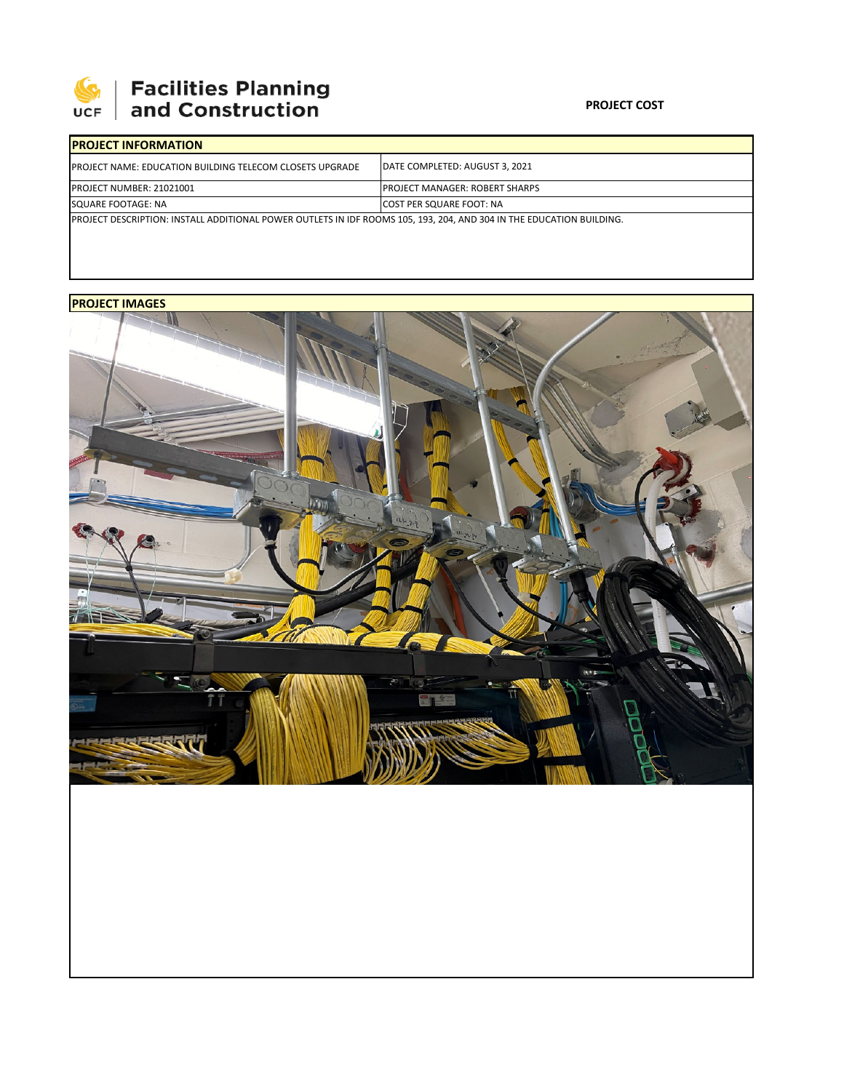

# **Facilities Planning<br>and Construction**

### **PROJECT COST**

| <b>IPROJECT INFORMATION</b>                                                                                          |                                        |  |  |  |  |  |  |
|----------------------------------------------------------------------------------------------------------------------|----------------------------------------|--|--|--|--|--|--|
| <b>IPROJECT NAME: EDUCATION BUILDING TELECOM CLOSETS UPGRADE</b>                                                     | DATE COMPLETED: AUGUST 3, 2021         |  |  |  |  |  |  |
| <b>PROJECT NUMBER: 21021001</b>                                                                                      | <b>IPROJECT MANAGER: ROBERT SHARPS</b> |  |  |  |  |  |  |
| SQUARE FOOTAGE: NA                                                                                                   | <b>COST PER SQUARE FOOT: NA</b>        |  |  |  |  |  |  |
| PROJECT DESCRIPTION: INSTALL ADDITIONAL POWER OUTLETS IN IDF ROOMS 105, 193, 204, AND 304 IN THE EDUCATION BUILDING. |                                        |  |  |  |  |  |  |

## **PROJECT IMAGES**